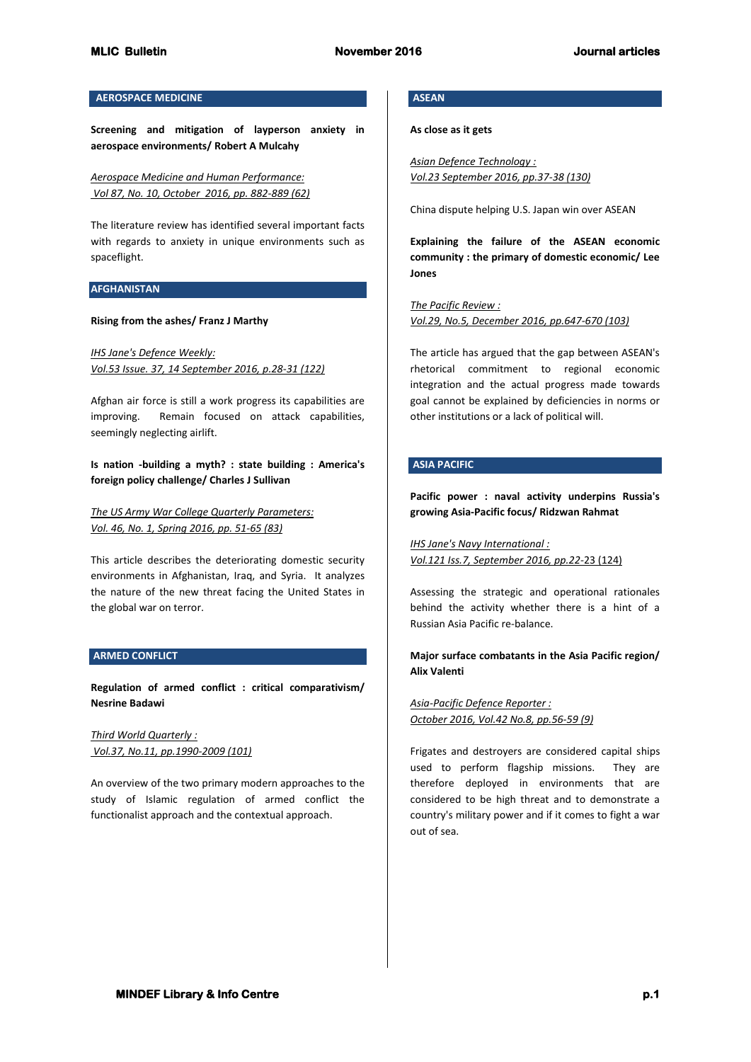# **AEROSPACE MEDICINE**

**Screening and mitigation of layperson anxiety in aerospace environments/ Robert A Mulcahy**

*Aerospace Medicine and Human Performance: Vol 87, No. 10, October 2016, pp. 882-889 (62)*

The literature review has identified several important facts with regards to anxiety in unique environments such as spaceflight.

#### **AFGHANISTAN**

#### **Rising from the ashes/ Franz J Marthy**

*IHS Jane's Defence Weekly: Vol.53 Issue. 37, 14 September 2016, p.28-31 (122)*

Afghan air force is still a work progress its capabilities are improving. Remain focused on attack capabilities, seemingly neglecting airlift.

**Is nation -building a myth? : state building : America's foreign policy challenge/ Charles J Sullivan**

*The US Army War College Quarterly Parameters: Vol. 46, No. 1, Spring 2016, pp. 51-65 (83)*

This article describes the deteriorating domestic security environments in Afghanistan, Iraq, and Syria. It analyzes the nature of the new threat facing the United States in the global war on terror.

### **ARMED CONFLICT**

**Regulation of armed conflict : critical comparativism/ Nesrine Badawi**

*Third World Quarterly : Vol.37, No.11, pp.1990-2009 (101)*

An overview of the two primary modern approaches to the study of Islamic regulation of armed conflict the functionalist approach and the contextual approach.

# **ASEAN**

**As close as it gets**

*Asian Defence Technology : Vol.23 September 2016, pp.37-38 (130)*

China dispute helping U.S. Japan win over ASEAN

**Explaining the failure of the ASEAN economic community : the primary of domestic economic/ Lee Jones**

*The Pacific Review : Vol.29, No.5, December 2016, pp.647-670 (103)*

The article has argued that the gap between ASEAN's rhetorical commitment to regional economic integration and the actual progress made towards goal cannot be explained by deficiencies in norms or other institutions or a lack of political will.

## **ASIA PACIFIC**

**Pacific power : naval activity underpins Russia's growing Asia-Pacific focus/ Ridzwan Rahmat**

*IHS Jane's Navy International : Vol.121 Iss.7, September 2016, pp.22-*23 (124)

Assessing the strategic and operational rationales behind the activity whether there is a hint of a Russian Asia Pacific re-balance.

# **Major surface combatants in the Asia Pacific region/ Alix Valenti**

*Asia-Pacific Defence Reporter : October 2016, Vol.42 No.8, pp.56-59 (9)*

Frigates and destroyers are considered capital ships used to perform flagship missions. They are therefore deployed in environments that are considered to be high threat and to demonstrate a country's military power and if it comes to fight a war out of sea.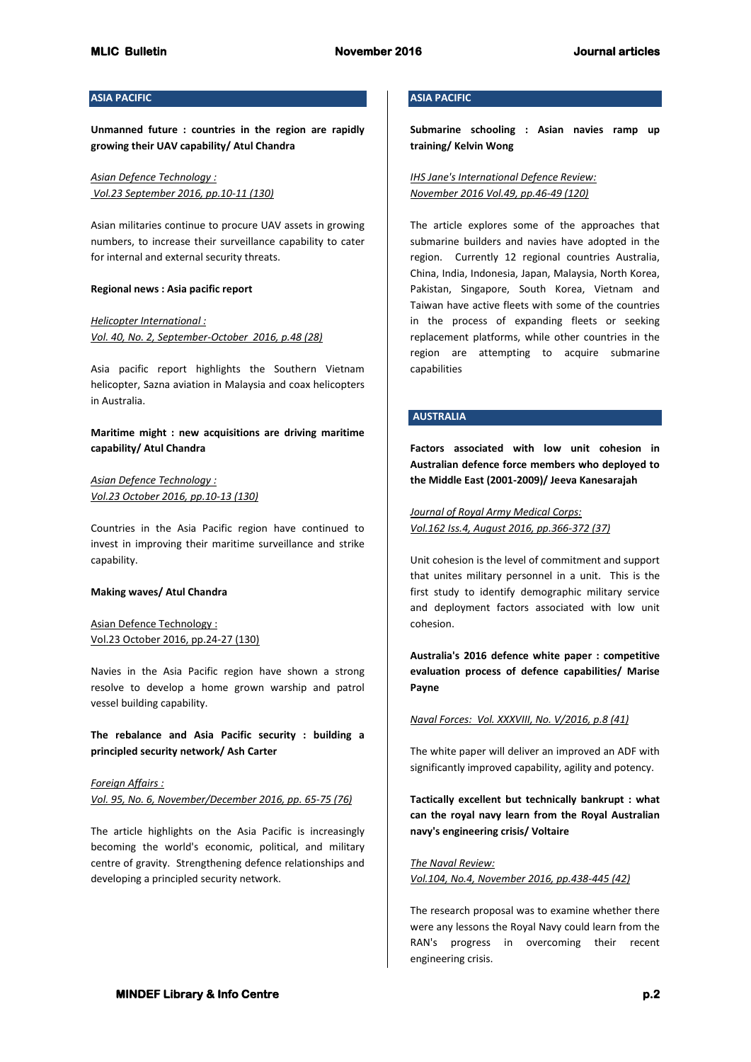## **ASIA PACIFIC**

**Unmanned future : countries in the region are rapidly growing their UAV capability/ Atul Chandra**

*Asian Defence Technology : Vol.23 September 2016, pp.10-11 (130)*

Asian militaries continue to procure UAV assets in growing numbers, to increase their surveillance capability to cater for internal and external security threats.

### **Regional news : Asia pacific report**

*Helicopter International : Vol. 40, No. 2, September-October 2016, p.48 (28)*

Asia pacific report highlights the Southern Vietnam helicopter, Sazna aviation in Malaysia and coax helicopters in Australia.

**Maritime might : new acquisitions are driving maritime capability/ Atul Chandra**

## *Asian Defence Technology : Vol.23 October 2016, pp.10-13 (130)*

Countries in the Asia Pacific region have continued to invest in improving their maritime surveillance and strike capability.

### **Making waves/ Atul Chandra**

Asian Defence Technology : Vol.23 October 2016, pp.24-27 (130)

Navies in the Asia Pacific region have shown a strong resolve to develop a home grown warship and patrol vessel building capability.

**The rebalance and Asia Pacific security : building a principled security network/ Ash Carter**

*Foreign Affairs : Vol. 95, No. 6, November/December 2016, pp. 65-75 (76)*

The article highlights on the Asia Pacific is increasingly becoming the world's economic, political, and military centre of gravity. Strengthening defence relationships and developing a principled security network.

## **ASIA PACIFIC**

**Submarine schooling : Asian navies ramp up training/ Kelvin Wong**

*IHS Jane's International Defence Review: November 2016 Vol.49, pp.46-49 (120)*

The article explores some of the approaches that submarine builders and navies have adopted in the region. Currently 12 regional countries Australia, China, India, Indonesia, Japan, Malaysia, North Korea, Pakistan, Singapore, South Korea, Vietnam and Taiwan have active fleets with some of the countries in the process of expanding fleets or seeking replacement platforms, while other countries in the region are attempting to acquire submarine capabilities

# **AUSTRALIA**

**Factors associated with low unit cohesion in Australian defence force members who deployed to the Middle East (2001-2009)/ Jeeva Kanesarajah**

*Journal of Royal Army Medical Corps: Vol.162 Iss.4, August 2016, pp.366-372 (37)*

Unit cohesion is the level of commitment and support that unites military personnel in a unit. This is the first study to identify demographic military service and deployment factors associated with low unit cohesion.

**Australia's 2016 defence white paper : competitive evaluation process of defence capabilities/ Marise Payne**

*Naval Forces: Vol. XXXVIII, No. V/2016, p.8 (41)*

The white paper will deliver an improved an ADF with significantly improved capability, agility and potency.

**Tactically excellent but technically bankrupt : what can the royal navy learn from the Royal Australian navy's engineering crisis/ Voltaire**

*The Naval Review: Vol.104, No.4, November 2016, pp.438-445 (42)*

The research proposal was to examine whether there were any lessons the Royal Navy could learn from the RAN's progress in overcoming their recent engineering crisis.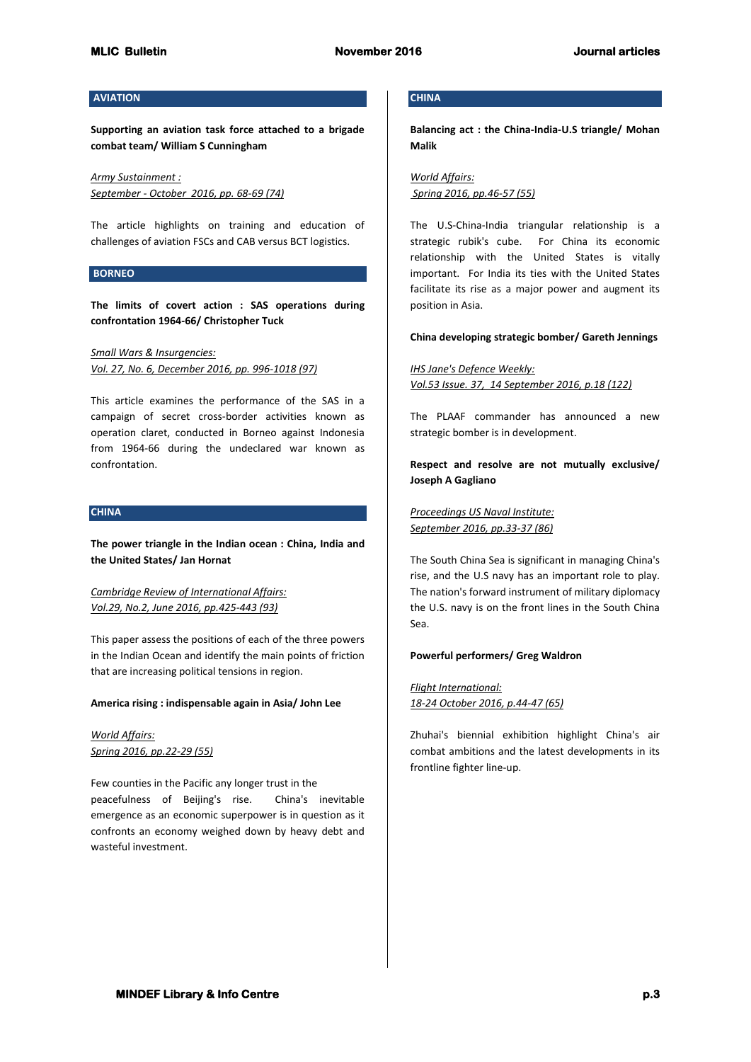### **AVIATION**

**Supporting an aviation task force attached to a brigade combat team/ William S Cunningham**

*Army Sustainment : September - October 2016, pp. 68-69 (74)*

The article highlights on training and education of challenges of aviation FSCs and CAB versus BCT logistics.

### **BORNEO**

**The limits of covert action : SAS operations during confrontation 1964-66/ Christopher Tuck**

*Small Wars & Insurgencies: Vol. 27, No. 6, December 2016, pp. 996-1018 (97)*

This article examines the performance of the SAS in a campaign of secret cross-border activities known as operation claret, conducted in Borneo against Indonesia from 1964-66 during the undeclared war known as confrontation.

### **CHINA**

**The power triangle in the Indian ocean : China, India and the United States/ Jan Hornat**

*Cambridge Review of International Affairs: Vol.29, No.2, June 2016, pp.425-443 (93)*

This paper assess the positions of each of the three powers in the Indian Ocean and identify the main points of friction that are increasing political tensions in region.

#### **America rising : indispensable again in Asia/ John Lee**

*World Affairs: Spring 2016, pp.22-29 (55)*

Few counties in the Pacific any longer trust in the peacefulness of Beijing's rise. China's inevitable emergence as an economic superpower is in question as it confronts an economy weighed down by heavy debt and wasteful investment.

# **CHINA**

**Balancing act : the China-India-U.S triangle/ Mohan Malik**

*World Affairs: Spring 2016, pp.46-57 (55)*

The U.S-China-India triangular relationship is a strategic rubik's cube. For China its economic relationship with the United States is vitally important. For India its ties with the United States facilitate its rise as a major power and augment its position in Asia.

### **China developing strategic bomber/ Gareth Jennings**

*IHS Jane's Defence Weekly: Vol.53 Issue. 37, 14 September 2016, p.18 (122)*

The PLAAF commander has announced a new strategic bomber is in development.

**Respect and resolve are not mutually exclusive/ Joseph A Gagliano**

*Proceedings US Naval Institute: September 2016, pp.33-37 (86)*

The South China Sea is significant in managing China's rise, and the U.S navy has an important role to play. The nation's forward instrument of military diplomacy the U.S. navy is on the front lines in the South China Sea.

## **Powerful performers/ Greg Waldron**

*Flight International: 18-24 October 2016, p.44-47 (65)*

Zhuhai's biennial exhibition highlight China's air combat ambitions and the latest developments in its frontline fighter line-up.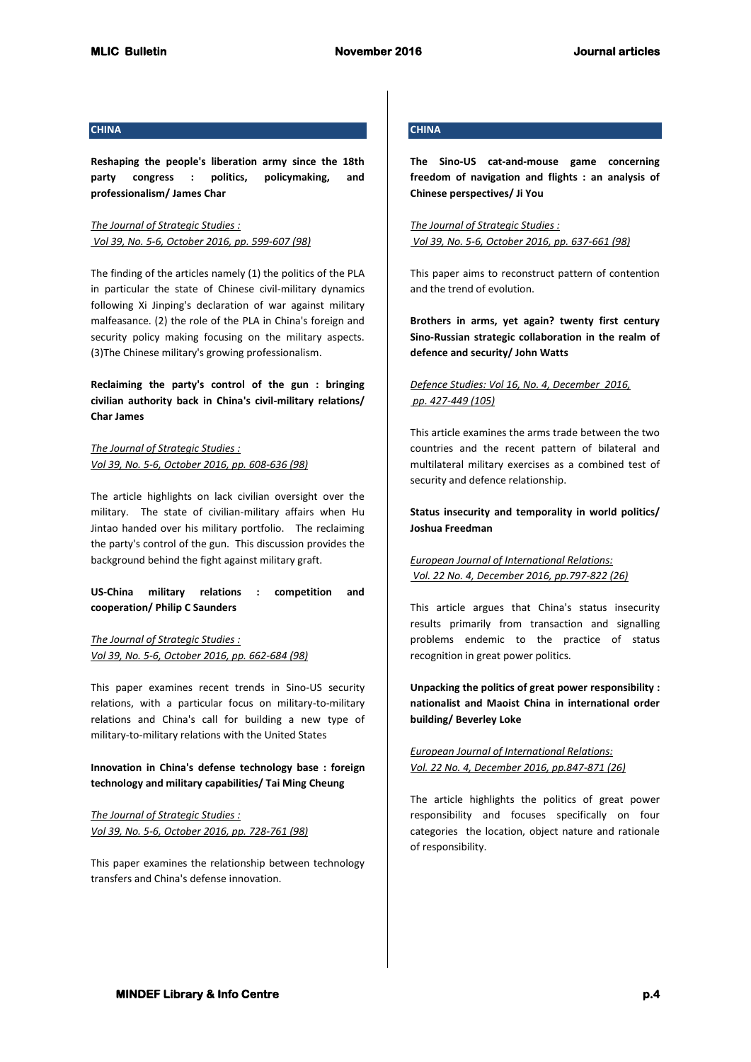### **CHINA**

**Reshaping the people's liberation army since the 18th party congress : politics, policymaking, and professionalism/ James Char**

*The Journal of Strategic Studies : Vol 39, No. 5-6, October 2016, pp. 599-607 (98)*

The finding of the articles namely (1) the politics of the PLA in particular the state of Chinese civil-military dynamics following Xi Jinping's declaration of war against military malfeasance. (2) the role of the PLA in China's foreign and security policy making focusing on the military aspects. (3)The Chinese military's growing professionalism.

**Reclaiming the party's control of the gun : bringing civilian authority back in China's civil-military relations/ Char James**

*The Journal of Strategic Studies : Vol 39, No. 5-6, October 2016, pp. 608-636 (98)*

The article highlights on lack civilian oversight over the military. The state of civilian-military affairs when Hu Jintao handed over his military portfolio. The reclaiming the party's control of the gun. This discussion provides the background behind the fight against military graft.

**US-China military relations : competition and cooperation/ Philip C Saunders**

*The Journal of Strategic Studies : Vol 39, No. 5-6, October 2016, pp. 662-684 (98)*

This paper examines recent trends in Sino-US security relations, with a particular focus on military-to-military relations and China's call for building a new type of military-to-military relations with the United States

**Innovation in China's defense technology base : foreign technology and military capabilities/ Tai Ming Cheung**

*The Journal of Strategic Studies : Vol 39, No. 5-6, October 2016, pp. 728-761 (98)*

This paper examines the relationship between technology transfers and China's defense innovation.

# **CHINA**

**The Sino-US cat-and-mouse game concerning freedom of navigation and flights : an analysis of Chinese perspectives/ Ji You**

*The Journal of Strategic Studies : Vol 39, No. 5-6, October 2016, pp. 637-661 (98)*

This paper aims to reconstruct pattern of contention and the trend of evolution.

**Brothers in arms, yet again? twenty first century Sino-Russian strategic collaboration in the realm of defence and security/ John Watts**

# *Defence Studies: Vol 16, No. 4, December 2016, pp. 427-449 (105)*

This article examines the arms trade between the two countries and the recent pattern of bilateral and multilateral military exercises as a combined test of security and defence relationship.

**Status insecurity and temporality in world politics/ Joshua Freedman**

*European Journal of International Relations: Vol. 22 No. 4, December 2016, pp.797-822 (26)* 

This article argues that China's status insecurity results primarily from transaction and signalling problems endemic to the practice of status recognition in great power politics.

**Unpacking the politics of great power responsibility : nationalist and Maoist China in international order building/ Beverley Loke**

*European Journal of International Relations: Vol. 22 No. 4, December 2016, pp.847-871 (26)*

The article highlights the politics of great power responsibility and focuses specifically on four categories the location, object nature and rationale of responsibility.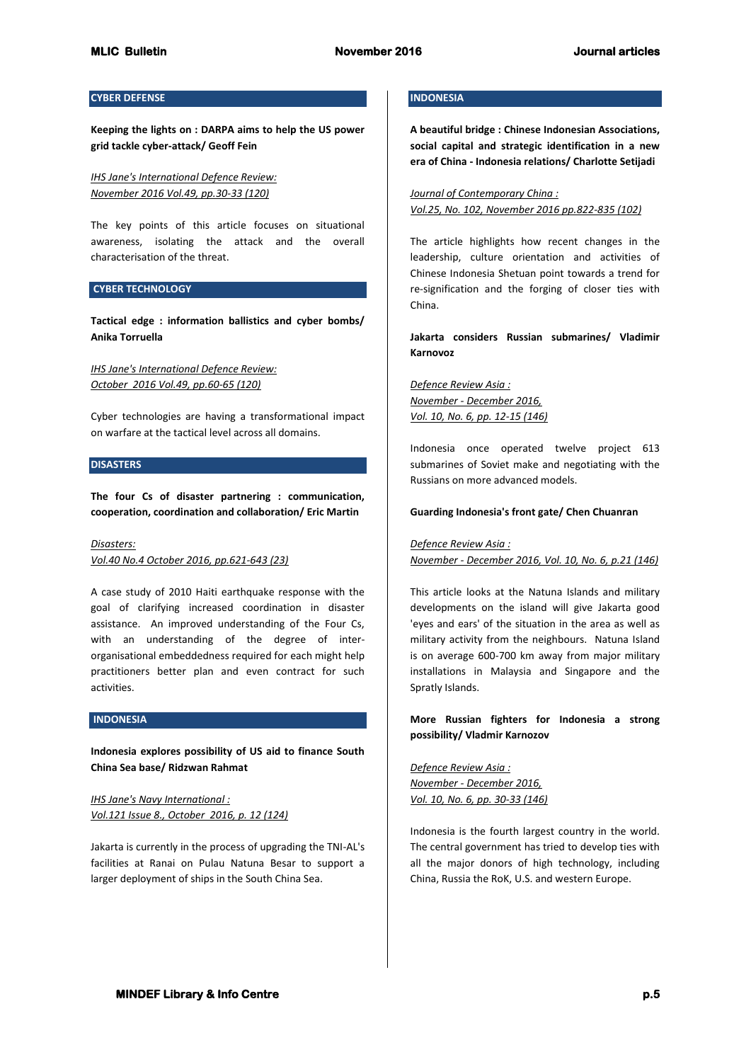## **CYBER DEFENSE**

**Keeping the lights on : DARPA aims to help the US power grid tackle cyber-attack/ Geoff Fein**

*IHS Jane's International Defence Review: November 2016 Vol.49, pp.30-33 (120)*

The key points of this article focuses on situational awareness, isolating the attack and the overall characterisation of the threat.

### **CYBER TECHNOLOGY**

**Tactical edge : information ballistics and cyber bombs/ Anika Torruella**

*IHS Jane's International Defence Review: October 2016 Vol.49, pp.60-65 (120)*

Cyber technologies are having a transformational impact on warfare at the tactical level across all domains.

## **DISASTERS**

**The four Cs of disaster partnering : communication, cooperation, coordination and collaboration/ Eric Martin**

#### *Disasters:*

*Vol.40 No.4 October 2016, pp.621-643 (23)*

A case study of 2010 Haiti earthquake response with the goal of clarifying increased coordination in disaster assistance. An improved understanding of the Four Cs, with an understanding of the degree of interorganisational embeddedness required for each might help practitioners better plan and even contract for such activities.

#### **INDONESIA**

**Indonesia explores possibility of US aid to finance South China Sea base/ Ridzwan Rahmat**

*IHS Jane's Navy International : Vol.121 Issue 8., October 2016, p. 12 (124)*

Jakarta is currently in the process of upgrading the TNI-AL's facilities at Ranai on Pulau Natuna Besar to support a larger deployment of ships in the South China Sea.

# **INDONESIA**

**A beautiful bridge : Chinese Indonesian Associations, social capital and strategic identification in a new era of China - Indonesia relations/ Charlotte Setijadi** 

*Journal of Contemporary China : Vol.25, No. 102, November 2016 pp.822-835 (102)*

The article highlights how recent changes in the leadership, culture orientation and activities of Chinese Indonesia Shetuan point towards a trend for re-signification and the forging of closer ties with China.

**Jakarta considers Russian submarines/ Vladimir Karnovoz**

*Defence Review Asia : November - December 2016, Vol. 10, No. 6, pp. 12-15 (146)*

Indonesia once operated twelve project 613 submarines of Soviet make and negotiating with the Russians on more advanced models.

#### **Guarding Indonesia's front gate/ Chen Chuanran**

#### *Defence Review Asia :*

*November - December 2016, Vol. 10, No. 6, p.21 (146)*

This article looks at the Natuna Islands and military developments on the island will give Jakarta good 'eyes and ears' of the situation in the area as well as military activity from the neighbours. Natuna Island is on average 600-700 km away from major military installations in Malaysia and Singapore and the Spratly Islands.

**More Russian fighters for Indonesia a strong possibility/ Vladmir Karnozov**

*Defence Review Asia : November - December 2016, Vol. 10, No. 6, pp. 30-33 (146)*

Indonesia is the fourth largest country in the world. The central government has tried to develop ties with all the major donors of high technology, including China, Russia the RoK, U.S. and western Europe.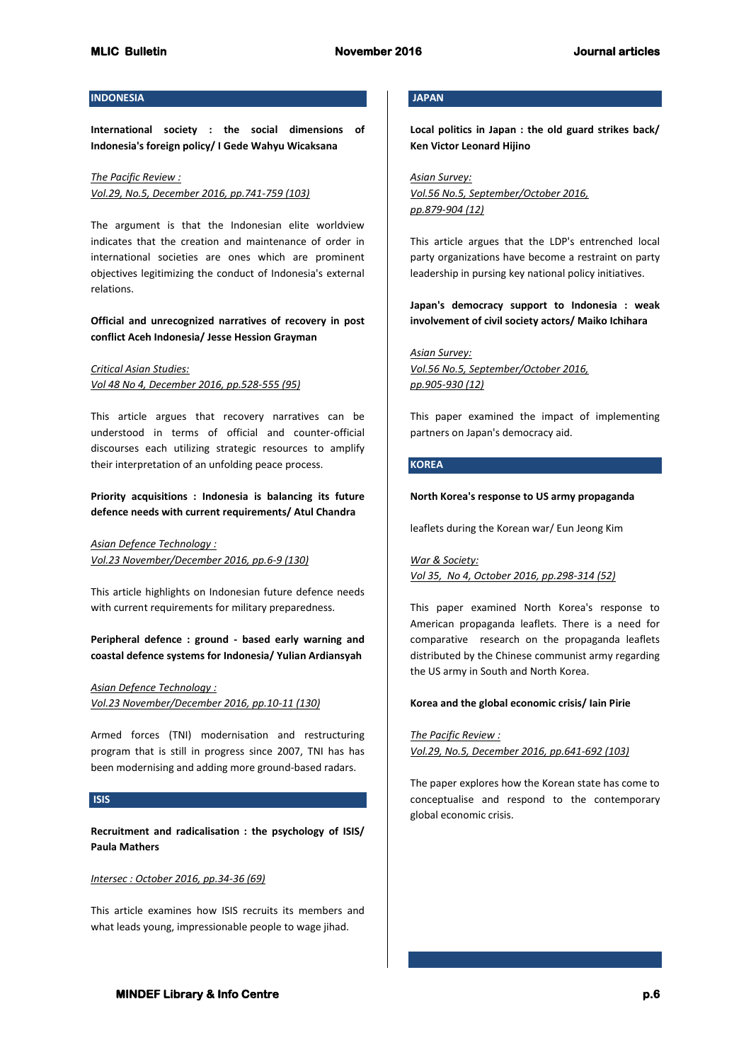## **INDONESIA**

**International society : the social dimensions of Indonesia's foreign policy/ I Gede Wahyu Wicaksana**

*The Pacific Review : Vol.29, No.5, December 2016, pp.741-759 (103)*

The argument is that the Indonesian elite worldview indicates that the creation and maintenance of order in international societies are ones which are prominent objectives legitimizing the conduct of Indonesia's external relations.

## **Official and unrecognized narratives of recovery in post conflict Aceh Indonesia/ Jesse Hession Grayman**

*Critical Asian Studies: Vol 48 No 4, December 2016, pp.528-555 (95)*

This article argues that recovery narratives can be understood in terms of official and counter-official discourses each utilizing strategic resources to amplify their interpretation of an unfolding peace process.

# **Priority acquisitions : Indonesia is balancing its future defence needs with current requirements/ Atul Chandra**

*Asian Defence Technology : Vol.23 November/December 2016, pp.6-9 (130)* 

This article highlights on Indonesian future defence needs with current requirements for military preparedness.

**Peripheral defence : ground - based early warning and coastal defence systems for Indonesia/ Yulian Ardiansyah**

*Asian Defence Technology : Vol.23 November/December 2016, pp.10-11 (130)*

Armed forces (TNI) modernisation and restructuring program that is still in progress since 2007, TNI has has been modernising and adding more ground-based radars.

## **ISIS**

**Recruitment and radicalisation : the psychology of ISIS/ Paula Mathers**

# *Intersec : October 2016, pp.34-36 (69)*

This article examines how ISIS recruits its members and what leads young, impressionable people to wage jihad.

## **JAPAN**

**Local politics in Japan : the old guard strikes back/ Ken Victor Leonard Hijino**

*Asian Survey: Vol.56 No.5, September/October 2016, pp.879-904 (12)*

This article argues that the LDP's entrenched local party organizations have become a restraint on party leadership in pursing key national policy initiatives.

**Japan's democracy support to Indonesia : weak involvement of civil society actors/ Maiko Ichihara**

*Asian Survey: Vol.56 No.5, September/October 2016, pp.905-930 (12)*

This paper examined the impact of implementing partners on Japan's democracy aid.

# **KOREA**

#### **North Korea's response to US army propaganda**

leaflets during the Korean war/ Eun Jeong Kim

*War & Society: Vol 35, No 4, October 2016, pp.298-314 (52)*

This paper examined North Korea's response to American propaganda leaflets. There is a need for comparative research on the propaganda leaflets distributed by the Chinese communist army regarding the US army in South and North Korea.

#### **Korea and the global economic crisis/ Iain Pirie**

*The Pacific Review :* 

*Vol.29, No.5, December 2016, pp.641-692 (103)*

The paper explores how the Korean state has come to conceptualise and respond to the contemporary global economic crisis.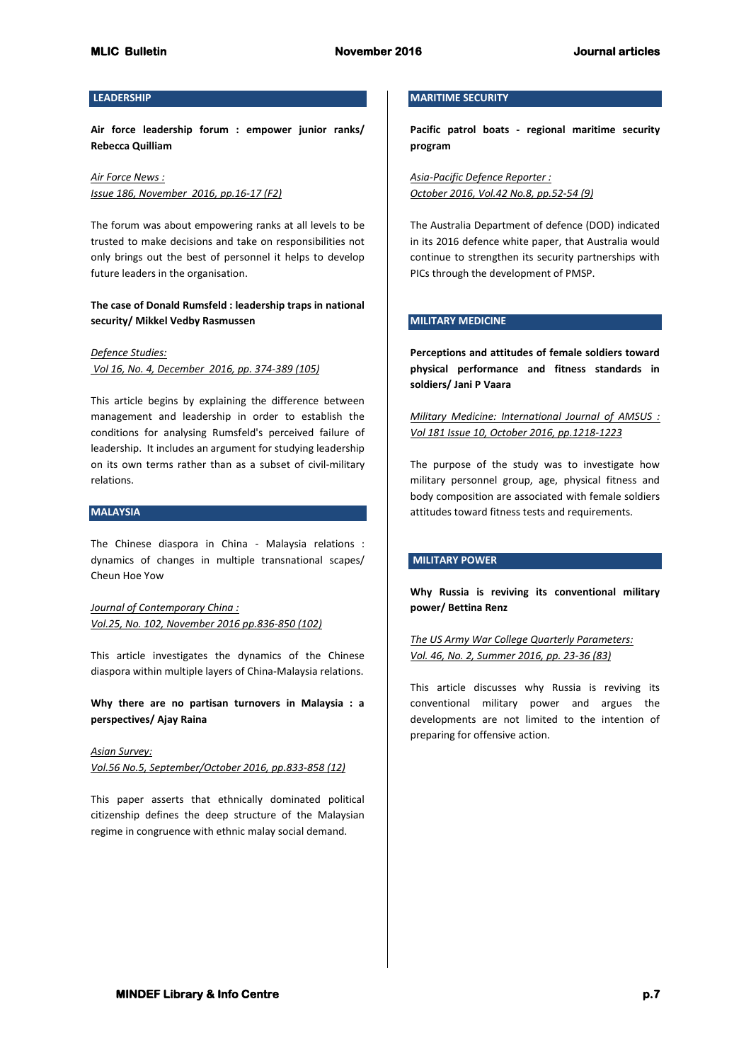## **LEADERSHIP**

**Air force leadership forum : empower junior ranks/ Rebecca Quilliam**

*Air Force News : Issue 186, November 2016, pp.16-17 (F2)* 

The forum was about empowering ranks at all levels to be trusted to make decisions and take on responsibilities not only brings out the best of personnel it helps to develop future leaders in the organisation.

# **The case of Donald Rumsfeld : leadership traps in national security/ Mikkel Vedby Rasmussen**

*Defence Studies: Vol 16, No. 4, December 2016, pp. 374-389 (105)*

This article begins by explaining the difference between management and leadership in order to establish the conditions for analysing Rumsfeld's perceived failure of leadership. It includes an argument for studying leadership on its own terms rather than as a subset of civil-military relations.

### **MALAYSIA**

The Chinese diaspora in China - Malaysia relations : dynamics of changes in multiple transnational scapes/ Cheun Hoe Yow

*Journal of Contemporary China : Vol.25, No. 102, November 2016 pp.836-850 (102)*

This article investigates the dynamics of the Chinese diaspora within multiple layers of China-Malaysia relations.

**Why there are no partisan turnovers in Malaysia : a perspectives/ Ajay Raina**

*Asian Survey: Vol.56 No.5, September/October 2016, pp.833-858 (12)*

This paper asserts that ethnically dominated political citizenship defines the deep structure of the Malaysian regime in congruence with ethnic malay social demand.

# **MARITIME SECURITY**

**Pacific patrol boats - regional maritime security program**

*Asia-Pacific Defence Reporter : October 2016, Vol.42 No.8, pp.52-54 (9)*

The Australia Department of defence (DOD) indicated in its 2016 defence white paper, that Australia would continue to strengthen its security partnerships with PICs through the development of PMSP.

# **MILITARY MEDICINE**

**Perceptions and attitudes of female soldiers toward physical performance and fitness standards in soldiers/ Jani P Vaara**

# *Military Medicine: International Journal of AMSUS : Vol 181 Issue 10, October 2016, pp.1218-1223*

The purpose of the study was to investigate how military personnel group, age, physical fitness and body composition are associated with female soldiers attitudes toward fitness tests and requirements.

## **MILITARY POWER**

**Why Russia is reviving its conventional military power/ Bettina Renz**

*The US Army War College Quarterly Parameters: Vol. 46, No. 2, Summer 2016, pp. 23-36 (83)*

This article discusses why Russia is reviving its conventional military power and argues the developments are not limited to the intention of preparing for offensive action.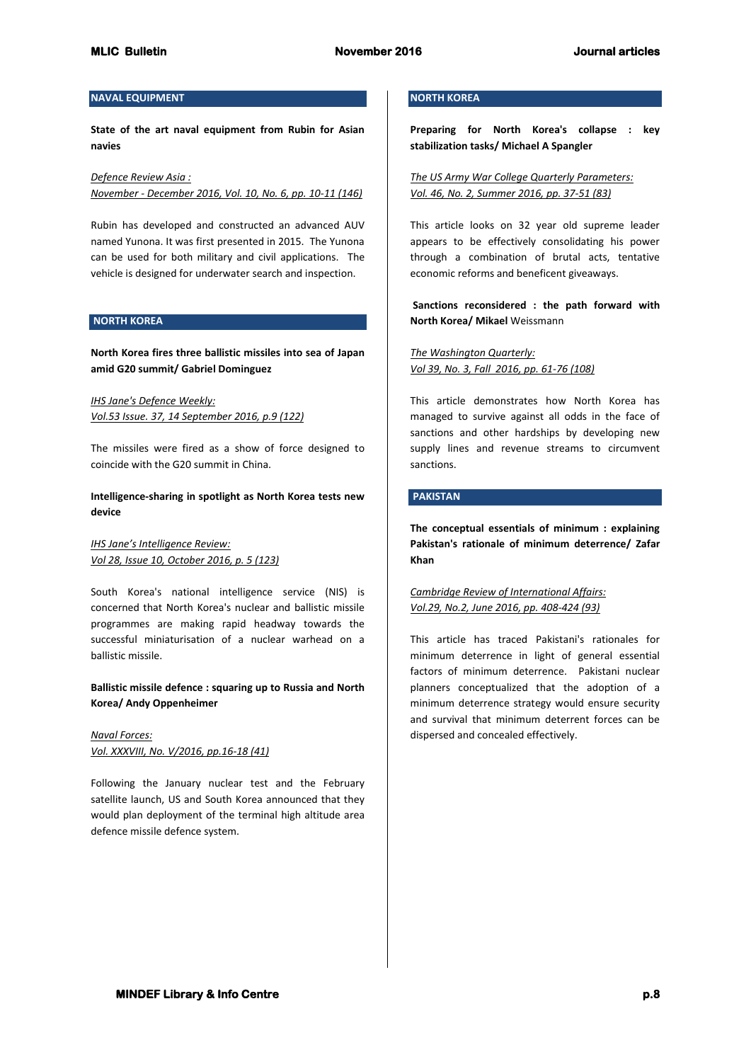# **NAVAL EQUIPMENT**

**State of the art naval equipment from Rubin for Asian navies**

*Defence Review Asia : November - December 2016, Vol. 10, No. 6, pp. 10-11 (146)*

Rubin has developed and constructed an advanced AUV named Yunona. It was first presented in 2015. The Yunona can be used for both military and civil applications. The vehicle is designed for underwater search and inspection.

## **NORTH KOREA**

**North Korea fires three ballistic missiles into sea of Japan amid G20 summit/ Gabriel Dominguez**

*IHS Jane's Defence Weekly: Vol.53 Issue. 37, 14 September 2016, p.9 (122)*

The missiles were fired as a show of force designed to coincide with the G20 summit in China.

# **Intelligence-sharing in spotlight as North Korea tests new device**

*IHS Jane's Intelligence Review: Vol 28, Issue 10, October 2016, p. 5 (123)*

South Korea's national intelligence service (NIS) is concerned that North Korea's nuclear and ballistic missile programmes are making rapid headway towards the successful miniaturisation of a nuclear warhead on a ballistic missile.

# **Ballistic missile defence : squaring up to Russia and North Korea/ Andy Oppenheimer**

*Naval Forces: Vol. XXXVIII, No. V/2016, pp.16-18 (41)*

Following the January nuclear test and the February satellite launch, US and South Korea announced that they would plan deployment of the terminal high altitude area defence missile defence system.

# **NORTH KOREA**

**Preparing for North Korea's collapse : key stabilization tasks/ Michael A Spangler**

*The US Army War College Quarterly Parameters: Vol. 46, No. 2, Summer 2016, pp. 37-51 (83)*

This article looks on 32 year old supreme leader appears to be effectively consolidating his power through a combination of brutal acts, tentative economic reforms and beneficent giveaways.

**Sanctions reconsidered : the path forward with North Korea/ Mikael** Weissmann

*The Washington Quarterly: Vol 39, No. 3, Fall 2016, pp. 61-76 (108)*

This article demonstrates how North Korea has managed to survive against all odds in the face of sanctions and other hardships by developing new supply lines and revenue streams to circumvent sanctions.

## **PAKISTAN**

**The conceptual essentials of minimum : explaining Pakistan's rationale of minimum deterrence/ Zafar Khan**

*Cambridge Review of International Affairs: Vol.29, No.2, June 2016, pp. 408-424 (93)*

This article has traced Pakistani's rationales for minimum deterrence in light of general essential factors of minimum deterrence. Pakistani nuclear planners conceptualized that the adoption of a minimum deterrence strategy would ensure security and survival that minimum deterrent forces can be dispersed and concealed effectively.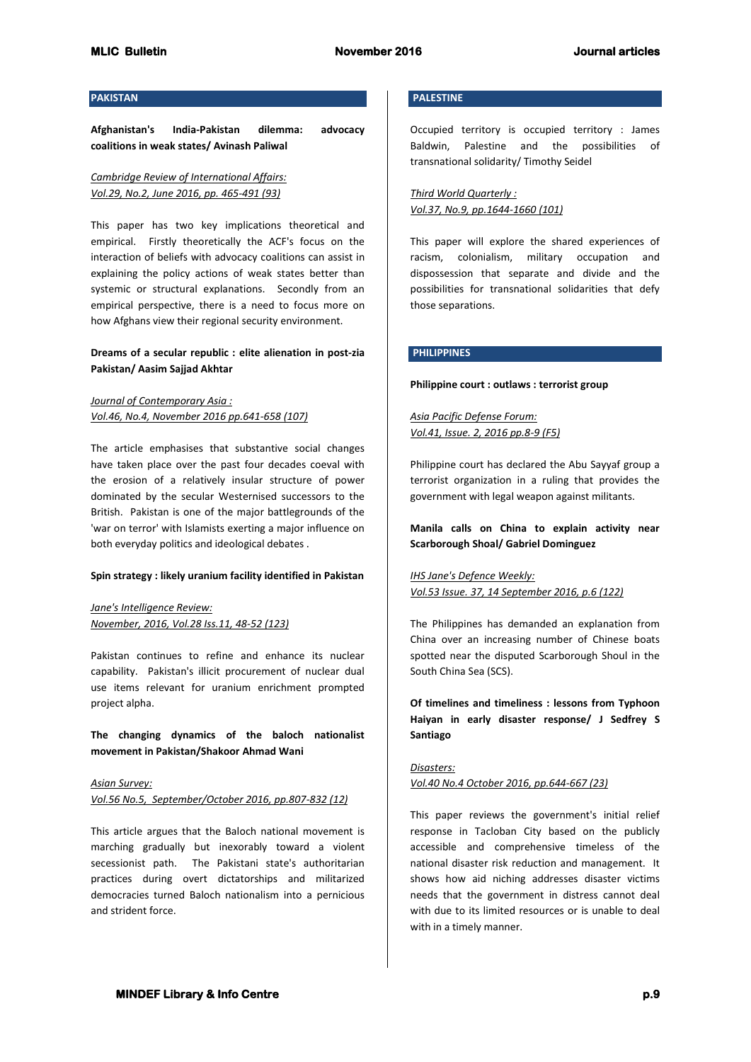### **PAKISTAN**

**Afghanistan's India-Pakistan dilemma: advocacy coalitions in weak states/ Avinash Paliwal**

# *Cambridge Review of International Affairs: Vol.29, No.2, June 2016, pp. 465-491 (93)*

This paper has two key implications theoretical and empirical. Firstly theoretically the ACF's focus on the interaction of beliefs with advocacy coalitions can assist in explaining the policy actions of weak states better than systemic or structural explanations. Secondly from an empirical perspective, there is a need to focus more on how Afghans view their regional security environment.

# **Dreams of a secular republic : elite alienation in post-zia Pakistan/ Aasim Sajjad Akhtar**

# *Journal of Contemporary Asia : Vol.46, No.4, November 2016 pp.641-658 (107)*

The article emphasises that substantive social changes have taken place over the past four decades coeval with the erosion of a relatively insular structure of power dominated by the secular Westernised successors to the British. Pakistan is one of the major battlegrounds of the 'war on terror' with Islamists exerting a major influence on both everyday politics and ideological debates .

## **Spin strategy : likely uranium facility identified in Pakistan**

*Jane's Intelligence Review: November, 2016, Vol.28 Iss.11, 48-52 (123)*

Pakistan continues to refine and enhance its nuclear capability. Pakistan's illicit procurement of nuclear dual use items relevant for uranium enrichment prompted project alpha.

**The changing dynamics of the baloch nationalist movement in Pakistan/Shakoor Ahmad Wani**

*Asian Survey: Vol.56 No.5, September/October 2016, pp.807-832 (12)*

This article argues that the Baloch national movement is marching gradually but inexorably toward a violent secessionist path. The Pakistani state's authoritarian practices during overt dictatorships and militarized democracies turned Baloch nationalism into a pernicious and strident force.

# **PALESTINE**

Occupied territory is occupied territory : James Baldwin, Palestine and the possibilities of transnational solidarity/ Timothy Seidel

*Third World Quarterly : Vol.37, No.9, pp.1644-1660 (101)*

This paper will explore the shared experiences of racism, colonialism, military occupation and dispossession that separate and divide and the possibilities for transnational solidarities that defy those separations.

## **PHILIPPINES**

#### **Philippine court : outlaws : terrorist group**

*Asia Pacific Defense Forum: Vol.41, Issue. 2, 2016 pp.8-9 (F5)*

Philippine court has declared the Abu Sayyaf group a terrorist organization in a ruling that provides the government with legal weapon against militants.

**Manila calls on China to explain activity near Scarborough Shoal/ Gabriel Dominguez**

*IHS Jane's Defence Weekly: Vol.53 Issue. 37, 14 September 2016, p.6 (122)*

The Philippines has demanded an explanation from China over an increasing number of Chinese boats spotted near the disputed Scarborough Shoul in the South China Sea (SCS).

**Of timelines and timeliness : lessons from Typhoon Haiyan in early disaster response/ J Sedfrey S Santiago**

*Disasters: Vol.40 No.4 October 2016, pp.644-667 (23)*

This paper reviews the government's initial relief response in Tacloban City based on the publicly accessible and comprehensive timeless of the national disaster risk reduction and management. It shows how aid niching addresses disaster victims needs that the government in distress cannot deal with due to its limited resources or is unable to deal with in a timely manner.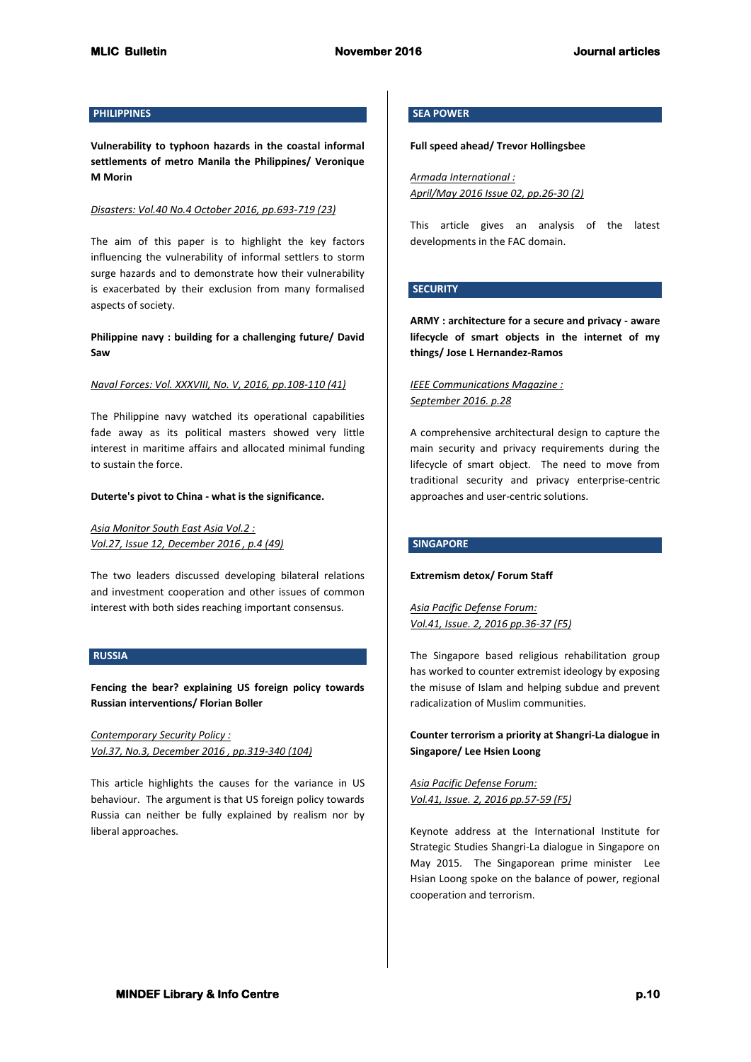# **PHILIPPINES**

**Vulnerability to typhoon hazards in the coastal informal settlements of metro Manila the Philippines/ Veronique M Morin**

### *Disasters: Vol.40 No.4 October 2016, pp.693-719 (23)*

The aim of this paper is to highlight the key factors influencing the vulnerability of informal settlers to storm surge hazards and to demonstrate how their vulnerability is exacerbated by their exclusion from many formalised aspects of society.

**Philippine navy : building for a challenging future/ David Saw**

### *Naval Forces: Vol. XXXVIII, No. V, 2016, pp.108-110 (41)*

The Philippine navy watched its operational capabilities fade away as its political masters showed very little interest in maritime affairs and allocated minimal funding to sustain the force.

#### **Duterte's pivot to China - what is the significance.**

*Asia Monitor South East Asia Vol.2 : Vol.27, Issue 12, December 2016 , p.4 (49)*

The two leaders discussed developing bilateral relations and investment cooperation and other issues of common interest with both sides reaching important consensus.

## **RUSSIA**

**Fencing the bear? explaining US foreign policy towards Russian interventions/ Florian Boller**

*Contemporary Security Policy : Vol.37, No.3, December 2016 , pp.319-340 (104)*

This article highlights the causes for the variance in US behaviour. The argument is that US foreign policy towards Russia can neither be fully explained by realism nor by liberal approaches.

# **SEA POWER**

## **Full speed ahead/ Trevor Hollingsbee**

*Armada International : April/May 2016 Issue 02, pp.26-30 (2)*

This article gives an analysis of the latest developments in the FAC domain.

# **SECURITY**

**ARMY : architecture for a secure and privacy - aware lifecycle of smart objects in the internet of my things/ Jose L Hernandez-Ramos**

# *IEEE Communications Magazine : September 2016. p.28*

A comprehensive architectural design to capture the main security and privacy requirements during the lifecycle of smart object. The need to move from traditional security and privacy enterprise-centric approaches and user-centric solutions.

## **SINGAPORE**

#### **Extremism detox/ Forum Staff**

*Asia Pacific Defense Forum: Vol.41, Issue. 2, 2016 pp.36-37 (F5)*

The Singapore based religious rehabilitation group has worked to counter extremist ideology by exposing the misuse of Islam and helping subdue and prevent radicalization of Muslim communities.

# **Counter terrorism a priority at Shangri-La dialogue in Singapore/ Lee Hsien Loong**

*Asia Pacific Defense Forum: Vol.41, Issue. 2, 2016 pp.57-59 (F5)*

Keynote address at the International Institute for Strategic Studies Shangri-La dialogue in Singapore on May 2015. The Singaporean prime minister Lee Hsian Loong spoke on the balance of power, regional cooperation and terrorism.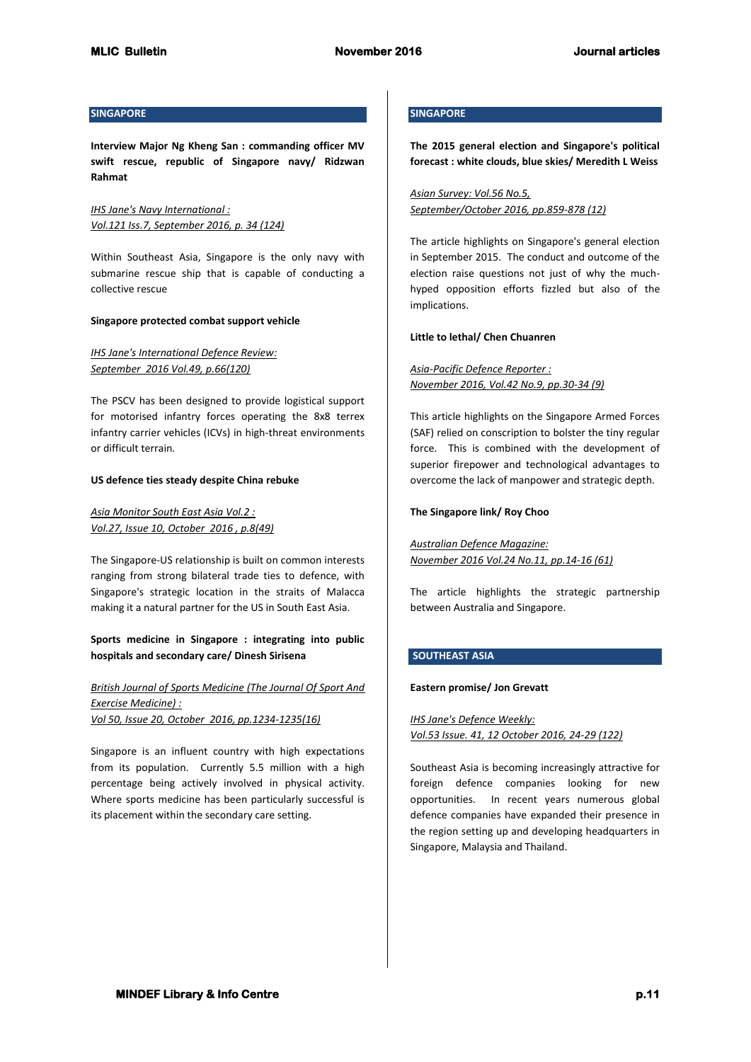## **SINGAPORE**

**Interview Major Ng Kheng San : commanding officer MV swift rescue, republic of Singapore navy/ Ridzwan Rahmat**

*IHS Jane's Navy International : Vol.121 Iss.7, September 2016, p. 34 (124)*

Within Southeast Asia, Singapore is the only navy with submarine rescue ship that is capable of conducting a collective rescue

#### **Singapore protected combat support vehicle**

*IHS Jane's International Defence Review: September 2016 Vol.49, p.66(120)* 

The PSCV has been designed to provide logistical support for motorised infantry forces operating the 8x8 terrex infantry carrier vehicles (ICVs) in high-threat environments or difficult terrain.

### **US defence ties steady despite China rebuke**

*Asia Monitor South East Asia Vol.2 : Vol.27, Issue 10, October 2016 , p.8(49)*

The Singapore-US relationship is built on common interests ranging from strong bilateral trade ties to defence, with Singapore's strategic location in the straits of Malacca making it a natural partner for the US in South East Asia.

**Sports medicine in Singapore : integrating into public hospitals and secondary care/ Dinesh Sirisena**

# *British Journal of Sports Medicine (The Journal Of Sport And Exercise Medicine) : Vol 50, Issue 20, October 2016, pp.1234-1235(16)*

Singapore is an influent country with high expectations from its population. Currently 5.5 million with a high percentage being actively involved in physical activity. Where sports medicine has been particularly successful is its placement within the secondary care setting.

# **SINGAPORE**

**The 2015 general election and Singapore's political forecast : white clouds, blue skies/ Meredith L Weiss**

*Asian Survey: Vol.56 No.5, September/October 2016, pp.859-878 (12)*

The article highlights on Singapore's general election in September 2015. The conduct and outcome of the election raise questions not just of why the muchhyped opposition efforts fizzled but also of the implications.

### **Little to lethal/ Chen Chuanren**

*Asia-Pacific Defence Reporter : November 2016, Vol.42 No.9, pp.30-34 (9)*

This article highlights on the Singapore Armed Forces (SAF) relied on conscription to bolster the tiny regular force. This is combined with the development of superior firepower and technological advantages to overcome the lack of manpower and strategic depth.

### **The Singapore link/ Roy Choo**

*Australian Defence Magazine: November 2016 Vol.24 No.11, pp.14-16 (61)*

The article highlights the strategic partnership between Australia and Singapore.

# **SOUTHEAST ASIA**

### **Eastern promise/ Jon Grevatt**

*IHS Jane's Defence Weekly: Vol.53 Issue. 41, 12 October 2016, 24-29 (122)*

Southeast Asia is becoming increasingly attractive for foreign defence companies looking for new opportunities. In recent years numerous global defence companies have expanded their presence in the region setting up and developing headquarters in Singapore, Malaysia and Thailand.